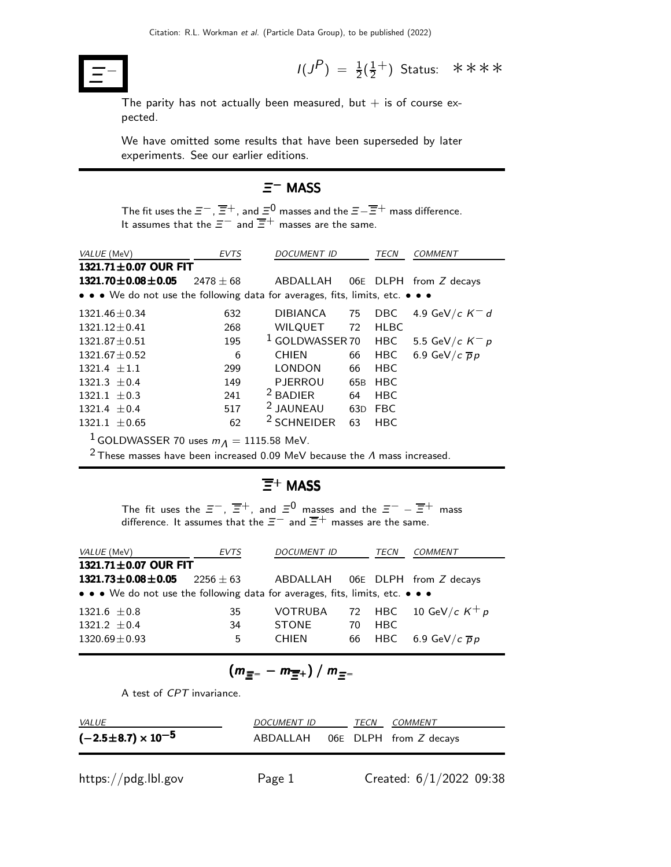

 $P$ ) =  $\frac{1}{2}(\frac{1}{2})$  $\frac{1}{2}^+$ ) Status: \*\*\*\*

The parity has not actually been measured, but  $+$  is of course expected.

We have omitted some results that have been superseded by later experiments. See our earlier editions.

#### Ξ <sup>−</sup> MASS

The fit uses the  $\Xi^-$  ,  $\overline{\Xi}{}^+$  , and  $\Xi^0$  masses and the  $\Xi - \overline{\Xi}{}^+$  mass difference. It assumes that the  $\Xi^-$  and  $\overline{\Xi}^+$  masses are the same.

| VALUE (MeV)                                                                   | <b>EVTS</b>   | <b>DOCUMENT ID</b>         |     |             | <b>COMMENT</b>            |
|-------------------------------------------------------------------------------|---------------|----------------------------|-----|-------------|---------------------------|
| 1321.71±0.07 OUR FIT                                                          |               |                            |     |             |                           |
| $1321.70 \pm 0.08 \pm 0.05$                                                   | $2478 \pm 68$ | ABDALLAH                   |     |             | $06E$ DLPH from Z decays  |
| • • • We do not use the following data for averages, fits, limits, etc. • • • |               |                            |     |             |                           |
| $1321.46 \pm 0.34$                                                            | 632           | <b>DIBIANCA</b>            | 75  | <b>DBC</b>  | 4.9 GeV/c $K^-$ d         |
| $1321.12 \pm 0.41$                                                            | 268           | <b>WILQUET</b>             | 72  | <b>HLBC</b> |                           |
| $1321.87 + 0.51$                                                              | 195           | <sup>1</sup> GOLDWASSER 70 |     | <b>HBC</b>  | 5.5 GeV/c $K^- p$         |
| $1321.67 \pm 0.52$                                                            | 6             | <b>CHIEN</b>               | 66  | <b>HBC</b>  | 6.9 GeV/c $\overline{p}p$ |
| $1321.4 + 1.1$                                                                | 299           | <b>LONDON</b>              | 66  | <b>HBC</b>  |                           |
| $1321.3 + 0.4$                                                                | 149           | <b>PJERROU</b>             | 65B | <b>HBC</b>  |                           |
| $1321.1 \pm 0.3$                                                              | 241           | $2$ BADIER                 | 64  | <b>HBC</b>  |                           |
| $1321.4 + 0.4$                                                                | 517           | <sup>2</sup> JAUNEAU       | 63D | <b>FBC</b>  |                           |
| $1321.1 \pm 0.65$                                                             | 62            | <sup>2</sup> SCHNEIDER     | 63  | <b>HBC</b>  |                           |
| $1$ GOI DWASSER 70 uses $m_A = 1115$ 58 MeV                                   |               |                            |     |             |                           |

<code>LDWASSER</code> 70 uses  $m_{\tilde{\cal A}} = 1115.58$  MeV.

<sup>2</sup> These masses have been increased 0.09 MeV because the  $\Lambda$  mass increased.

#### $\overline{\Xi}{}^+$  MASS

The fit uses the  $\bar{z}^-$ ,  $\overline{\bar{z}}^+$ , and  $\bar{z}^0$  masses and the  $\bar{z}^-$  –  $\overline{\bar{z}}^+$  mass difference. It assumes that the  $\Xi^-$  and  $\overline{\Xi}^+$  masses are the same.

| <i>VALUE</i> (MeV)                                                            | <b>EVTS</b> | <b>DOCUMENT ID</b> |    | TECN | COMMENT                          |
|-------------------------------------------------------------------------------|-------------|--------------------|----|------|----------------------------------|
| 1321.71±0.07 OUR FIT                                                          |             |                    |    |      |                                  |
| $1321.73 \pm 0.08 \pm 0.05$                                                   | $2256 + 63$ |                    |    |      | ABDALLAH 06E DLPH from Z decays  |
| • • • We do not use the following data for averages, fits, limits, etc. • • • |             |                    |    |      |                                  |
| $1321.6 \pm 0.8$                                                              | 35          | <b>VOTRUBA</b>     |    |      | 72 HBC 10 GeV/c $K^+ p$          |
| $1321.2 + 0.4$                                                                | 34          | <b>STONE</b>       | 70 | HBC. |                                  |
| $1320.69 \pm 0.93$                                                            | 5           | <b>CHIFN</b>       |    |      | 66 HBC 6.9 GeV/c $\overline{p}p$ |

$$
(m_{\Xi^-}-m_{\Xi^+})/m_{\Xi^-}
$$

A test of CPT invariance.

| <i>VALUE</i>                | DOCUMENT ID                     | TECN | <i>COMMENT</i> |
|-----------------------------|---------------------------------|------|----------------|
| $(-2.5\pm8.7)\times10^{-5}$ | ABDALLAH 06E DLPH from Z decays |      |                |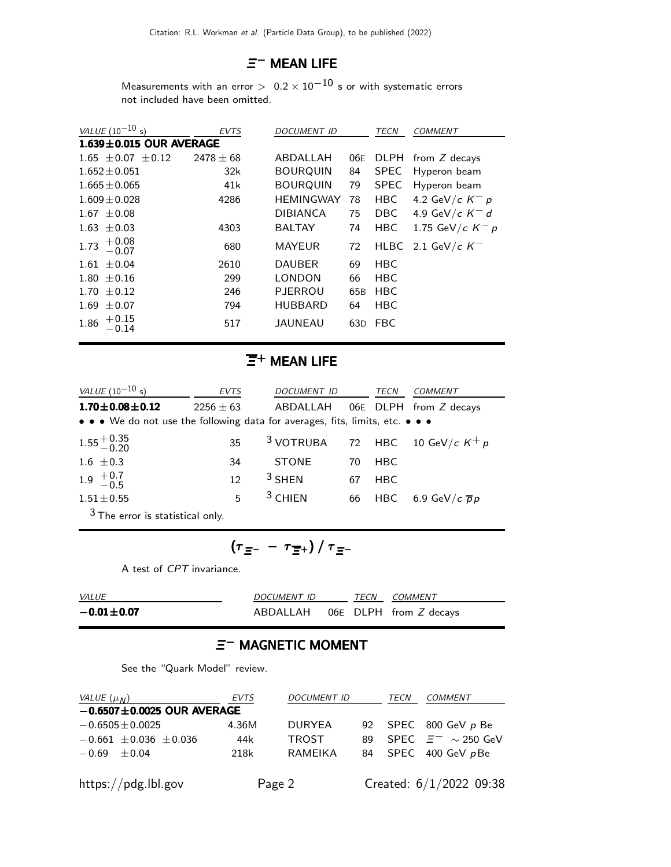# $\Xi^-$  MEAN LIFE

Measurements with an error  $> 0.2 \times 10^{-10}$  s or with systematic errors not included have been omitted.

| VALUE $(10^{-10} s)$          | <b>EVTS</b>   | <b>DOCUMENT ID</b> |                 | TECN        | <b>COMMENT</b>     |
|-------------------------------|---------------|--------------------|-----------------|-------------|--------------------|
| $1.639 \pm 0.015$ OUR AVERAGE |               |                    |                 |             |                    |
| $1.65 \pm 0.07 \pm 0.12$      | $2478 \pm 68$ | ABDALLAH           | 06E             | <b>DLPH</b> | from Z decays      |
| $1.652 \pm 0.051$             | 32k           | <b>BOURQUIN</b>    | 84              | <b>SPEC</b> | Hyperon beam       |
| $1.665 \pm 0.065$             | 41k           | <b>BOURQUIN</b>    | 79              | <b>SPEC</b> | Hyperon beam       |
| $1.609 \pm 0.028$             | 4286          | <b>HEMINGWAY</b>   | 78              | HBC         | 4.2 GeV/c $K^- p$  |
| $1.67 \pm 0.08$               |               | <b>DIBIANCA</b>    | 75              | <b>DBC</b>  | 4.9 GeV/c $K^-$ d  |
| 1.63<br>$\pm 0.03$            | 4303          | <b>BALTAY</b>      | 74              | <b>HBC</b>  | 1.75 GeV/c $K^- p$ |
| $^{+0.08}_{-0.07}$<br>1.73    | 680           | <b>MAYEUR</b>      | 72              | HLBC        | 2.1 GeV/c $K^-$    |
| $\pm 0.04$<br>1.61            | 2610          | <b>DAUBER</b>      | 69              | <b>HBC</b>  |                    |
| $\pm 0.16$<br>1.80            | 299           | <b>LONDON</b>      | 66              | <b>HBC</b>  |                    |
| $\pm$ 0.12<br>1.70            | 246           | <b>PJERROU</b>     | 65 <sub>B</sub> | <b>HBC</b>  |                    |
| 1.69<br>$\pm 0.07$            | 794           | <b>HUBBARD</b>     | 64              | <b>HBC</b>  |                    |
| $+0.15$<br>1.86<br>0.14       | 517           | <b>JAUNEAU</b>     | 63D             | <b>FBC</b>  |                    |

#### $\overline{\Xi}{}^+$  MEAN LIFE

| <i>VALUE</i> (10 <sup>-10</sup> s)                                            | <b>EVTS</b>   |                                              | <i>DOCUMENT ID</i><br>TECN |            | <b>COMMENT</b>                   |
|-------------------------------------------------------------------------------|---------------|----------------------------------------------|----------------------------|------------|----------------------------------|
| $1.70 \pm 0.08 \pm 0.12$                                                      | $2256 \pm 63$ | ABDALLAH                                     |                            |            | 06E DLPH from Z decays           |
| • • • We do not use the following data for averages, fits, limits, etc. • • • |               |                                              |                            |            |                                  |
| $1.55 + 0.35$<br>-0.20                                                        | 35            | <sup>3</sup> VOTRUBA 72 HBC 10 GeV/c $K^+ p$ |                            |            |                                  |
| 1.6 $\pm 0.3$                                                                 | 34            | STONE                                        | 70                         | HBC        |                                  |
| $1.9^{+0.7}_{-0.5}$                                                           | 12            | $3$ SHEN                                     | 67                         | <b>HBC</b> |                                  |
| $1.51 \pm 0.55$                                                               | 5             | $3$ CHIEN                                    |                            |            | 66 HBC 6.9 GeV/c $\overline{p}p$ |
| $3$ The error is statistical only.                                            |               |                                              |                            |            |                                  |

$$
(\tau_{\Xi^-} - \tau_{\overline{\Xi}^+}) / \tau_{\Xi^-}
$$

A test of CPT invariance.

| <i>VALUE</i>         | <i>DOCUMENT ID</i> |  |  | TECN COMMENT                    |
|----------------------|--------------------|--|--|---------------------------------|
| $-0.01 \!\pm\! 0.07$ |                    |  |  | ABDALLAH 06E DLPH from Z decays |

# Ξ<sup>-</sup> MAGNETIC MOMENT

See the "Quark Model" review.

| VALUE $(\mu_M)$                  | <b>EVTS</b> | <b>DOCUMENT ID</b> |    | TECN | COMMENT                   |
|----------------------------------|-------------|--------------------|----|------|---------------------------|
| $-0.6507 \pm 0.0025$ OUR AVERAGE |             |                    |    |      |                           |
| $-0.6505 \pm 0.0025$             | 4.36M       | <b>DURYEA</b>      |    |      | 92 SPEC 800 GeV p Be      |
| $-0.661 \pm 0.036 \pm 0.036$     | 44k         | <b>TROST</b>       | 89 |      | SPEC $\Xi^- \sim 250$ GeV |
| $-0.69 + 0.04$                   | 218k        | RAMEIKA            | 84 |      | SPEC 400 GeV pBe          |
| https://pdg.lbl.gov              |             | Page 2             |    |      | Created: 6/1/2022 09:38   |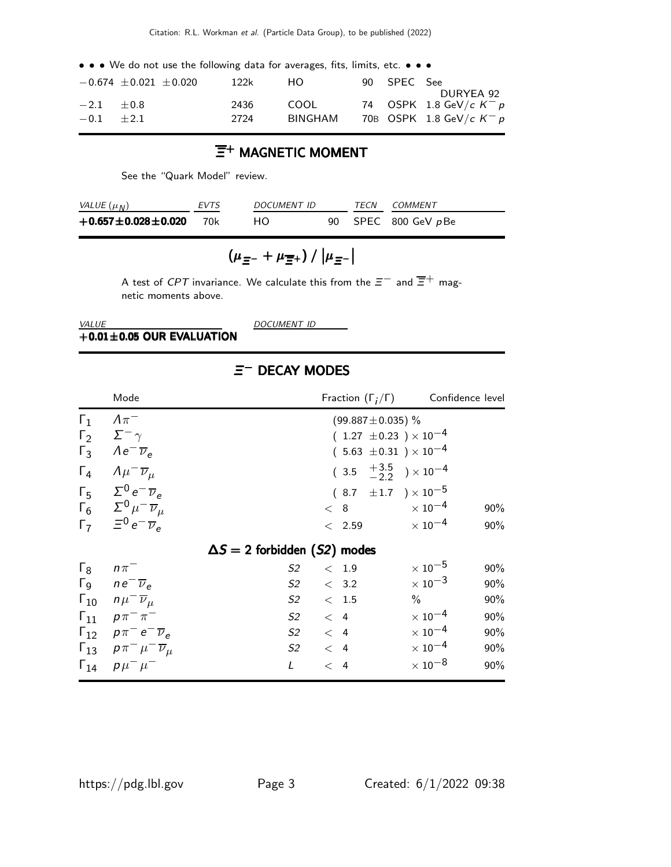• • • We do not use the following data for averages, fits, limits, etc. • • •

|              | $-0.674 \pm 0.021 \pm 0.020$ | 122k | HO.     | 90 SPEC See | DURYEA 92                  |
|--------------|------------------------------|------|---------|-------------|----------------------------|
| $-2.1 + 0.8$ |                              | 2436 | COOL    |             | 74 OSPK 1.8 GeV/c $K^- p$  |
| $-0.1 + 2.1$ |                              | 2724 | BINGHAM |             | 70B OSPK 1.8 GeV/c $K^- p$ |

#### $\overline{\Xi}{}^+$  MAGNETIC MOMENT

See the "Quark Model" review.

| VALUE $(\mu_N)$                  | <b>FVTS</b> | <i>DOCUMENT ID</i> |  | <i>TECN COMMENT</i> |
|----------------------------------|-------------|--------------------|--|---------------------|
| $+0.657 \pm 0.028 \pm 0.020$ 70k |             | HO.                |  | 90 SPEC 800 GeV pBe |

$$
\left(\mu_{\,\Xi^-}+\mu_{\,\overline{\Xi}^+}\right)/\left|\mu_{\,\overline{\Xi}^-}\right|
$$

A test of CPT invariance. We calculate this from the  $\Xi^-$  and  $\overline{\Xi}^+$  magnetic moments above.

VALUE DOCUMENT ID

 $+0.01\pm0.05$  OUR EVALUATION

# $\equiv$ <sup>-</sup> DECAY MODES

|                          | Mode                                                                                                                                                                                                                                                                                              | Fraction $(\Gamma_i/\Gamma)$ Confidence level                                                                                                                                                                     |                                                                                                                                                                                                                   |
|--------------------------|---------------------------------------------------------------------------------------------------------------------------------------------------------------------------------------------------------------------------------------------------------------------------------------------------|-------------------------------------------------------------------------------------------------------------------------------------------------------------------------------------------------------------------|-------------------------------------------------------------------------------------------------------------------------------------------------------------------------------------------------------------------|
| $\Gamma_1$<br>$\Gamma_4$ | $\Lambda \pi^-$<br>$\Gamma_2 \quad \Sigma^- \gamma$<br>$\Gamma_3$ $Ae^-\overline{\nu}_e$<br>$A\mu^{-} \overline{\nu}_{\mu}$<br>$\Gamma_5$ $\Sigma^0 e^- \overline{\nu}_e$<br>$\Gamma_6 \quad \Sigma^0 \mu^- \overline{\nu}_\mu$<br>$\Gamma_7 = e^{-\overline{\nu}_e}$                             | $(99.887 \pm 0.035)$ %<br>$(1.27 \pm 0.23) \times 10^{-4}$<br>$(5.63 \pm 0.31) \times 10^{-4}$<br>$(3.5 \tfrac{+3.5}{-2.2}) \times 10^{-4}$<br>$(8.7 \pm 1.7) \times 10^{-5}$<br>$< 8$ $\times 10^{-4}$<br>< 2.59 | 90%<br>$\times$ 10 $^{-4}$<br>90%                                                                                                                                                                                 |
|                          |                                                                                                                                                                                                                                                                                                   | $\Delta S = 2$ forbidden (S2) modes                                                                                                                                                                               |                                                                                                                                                                                                                   |
| $\Gamma_8$               | $n\pi^-$<br>$\Gamma$ <sub>9</sub> $ne^{-}$ $\overline{\nu}_e$<br>$\Gamma_{10}$ $n\mu^{-}$ $\overline{\nu}_{\mu}$<br>$\Gamma_{11}$ $p\pi^{-}\pi^{-}$<br>$\Gamma_{12}$ $\rho \pi^- e^- \overline{\nu}_e$<br>$\Gamma_{13}$ $\rho \pi^- \mu^- \overline{\nu}_\mu$<br>$\Gamma_{14}$ $\rho \mu^- \mu^-$ | S2<br>< 1.9<br>$S2 \t < 3.2$<br>S <sub>2</sub><br>$\rm <~1.5$<br>$S2 \t < 4$<br>$S2 \quad < 4$<br>$S2 \t < 4$<br>$\mathsf{L}$<br>$\lt$ 4                                                                          | $\times$ 10 $^{-5}$<br>90%<br>$\times$ 10 <sup>-3</sup><br>90%<br>$\%$<br>90%<br>$\times$ 10 $^{-4}$<br>90%<br>$\times$ 10 $^{-4}$<br>90%<br>$\times$ 10 <sup>-4</sup><br>90%<br>$\times$ 10 <sup>-8</sup><br>90% |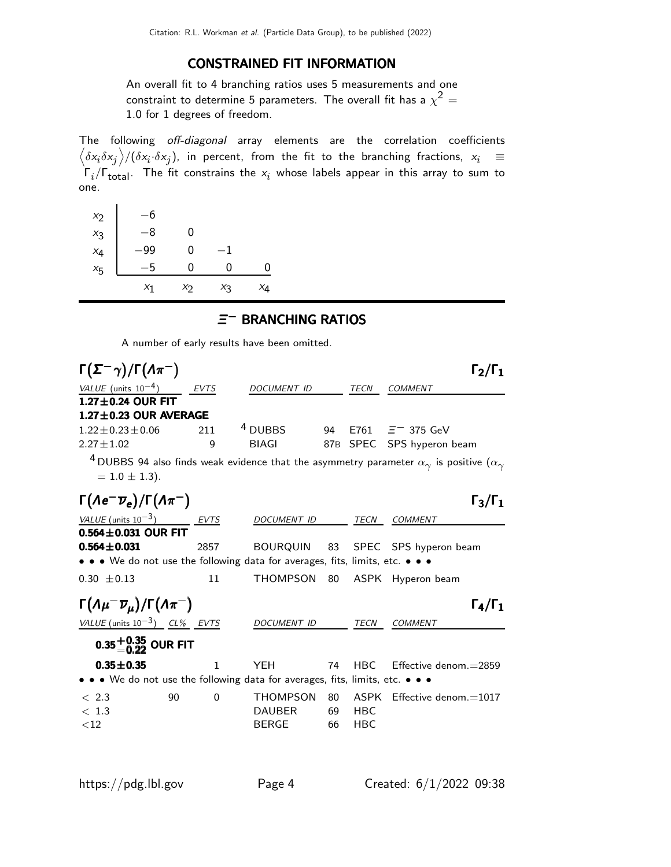#### CONSTRAINED FIT INFORMATION

An overall fit to 4 branching ratios uses 5 measurements and one constraint to determine 5 parameters. The overall fit has a  $\chi^2 =$ 1.0 for 1 degrees of freedom.

The following off-diagonal array elements are the correlation coefficients  $\left<\delta x_i\delta x_j\right>$ / $(\delta x_i\cdot\delta x_j)$ , in percent, from the fit to the branching fractions,  $x_i$   $\;\equiv$  $\Gamma_i/\Gamma_{\rm total}$ . The fit constrains the  $x_i$  whose labels appear in this array to sum to one.

| $x_2$   | $-6$  |       |             |    |
|---------|-------|-------|-------------|----|
| $x_3$   | -8    | 0     |             |    |
| $x_4$   | -99   | 0     | $^{\rm -1}$ |    |
| $x_{5}$ | -5    | 0     | 0           | ი  |
|         | $x_1$ | $x_2$ | $x_3$       | ×4 |

# $\equiv$ <sup>−</sup> BRANCHING RATIOS

A number of early results have been omitted.

| $\Gamma(\Sigma^-\gamma)/\Gamma(\Lambda\pi^-)$                                                                                            |              |                    |    |             | $\Gamma_2/\Gamma_1$                                                                                               |
|------------------------------------------------------------------------------------------------------------------------------------------|--------------|--------------------|----|-------------|-------------------------------------------------------------------------------------------------------------------|
| VALUE (units $10^{-4}$ )                                                                                                                 | EVTS         | <b>DOCUMENT ID</b> |    | <b>TECN</b> | <b>COMMENT</b>                                                                                                    |
| $1.27 \pm 0.24$ OUR FIT                                                                                                                  |              |                    |    |             |                                                                                                                   |
| $1.27 \pm 0.23$ OUR AVERAGE                                                                                                              |              |                    |    |             |                                                                                                                   |
| $1.22 \pm 0.23 \pm 0.06$                                                                                                                 | 211          | <sup>4</sup> DUBBS | 94 |             | E761 $\equiv$ 375 GeV                                                                                             |
| $2.27 + 1.02$                                                                                                                            | 9            | <b>BIAGI</b>       |    | 87B SPEC    | SPS hyperon beam                                                                                                  |
| $= 1.0 \pm 1.3$ ).                                                                                                                       |              |                    |    |             | $^4$ DUBBS 94 also finds weak evidence that the asymmetry parameter $\alpha_\gamma$ is positive ( $\alpha_\gamma$ |
| $\Gamma(\Lambda e^-\overline{\nu}_e)/\Gamma(\Lambda\pi^-)$                                                                               |              |                    |    |             | $\Gamma_3/\Gamma_1$                                                                                               |
| <i>VALUE</i> (units $10^{-3}$ )                                                                                                          | <b>EVTS</b>  | <b>DOCUMENT ID</b> |    | <b>TECN</b> | COMMENT                                                                                                           |
| $0.564 \pm 0.031$ OUR FIT                                                                                                                |              |                    |    |             |                                                                                                                   |
| $0.564 \pm 0.031$                                                                                                                        | 2857         | BOURQUIN           | 83 |             | SPEC SPS hyperon beam                                                                                             |
| $\bullet\,\bullet\,\bullet\,\sf{We}$ do not use the following data for averages, fits, limits, etc. $\bullet\,\bullet\,\bullet\,\bullet$ |              |                    |    |             |                                                                                                                   |
| $0.30 \pm 0.13$                                                                                                                          | 11           | <b>THOMPSON</b>    | 80 |             | ASPK Hyperon beam                                                                                                 |
| $\Gamma(\Lambda \mu^- \overline{\nu}_\mu)/\Gamma(\Lambda \pi^-)$                                                                         |              |                    |    |             | $\Gamma_4/\Gamma_1$                                                                                               |
| VALUE (units $10^{-3}$ ) CL% EVTS                                                                                                        |              | DOCUMENT ID        |    | TECN        | <b>COMMENT</b>                                                                                                    |
| $0.35^{+0.35}_{-0.22}$ OUR FIT                                                                                                           |              |                    |    |             |                                                                                                                   |
| $0.35 + 0.35$                                                                                                                            | $\mathbf{1}$ | <b>YEH</b>         | 74 | HBC.        | $E$ ffective denom. $=$ 2859                                                                                      |
| $\bullet \bullet \bullet$ We do not use the following data for averages, fits, limits, etc. $\bullet \bullet \bullet$                    |              |                    |    |             |                                                                                                                   |
| < 2.3<br>90                                                                                                                              | $\Omega$     | <b>THOMPSON</b>    | 80 |             | $ASPK$ Effective denom.=1017                                                                                      |
| < 1.3                                                                                                                                    |              | <b>DAUBER</b>      | 69 | <b>HBC</b>  |                                                                                                                   |
| ${<}12$                                                                                                                                  |              | <b>BERGE</b>       | 66 | <b>HBC</b>  |                                                                                                                   |
|                                                                                                                                          |              |                    |    |             |                                                                                                                   |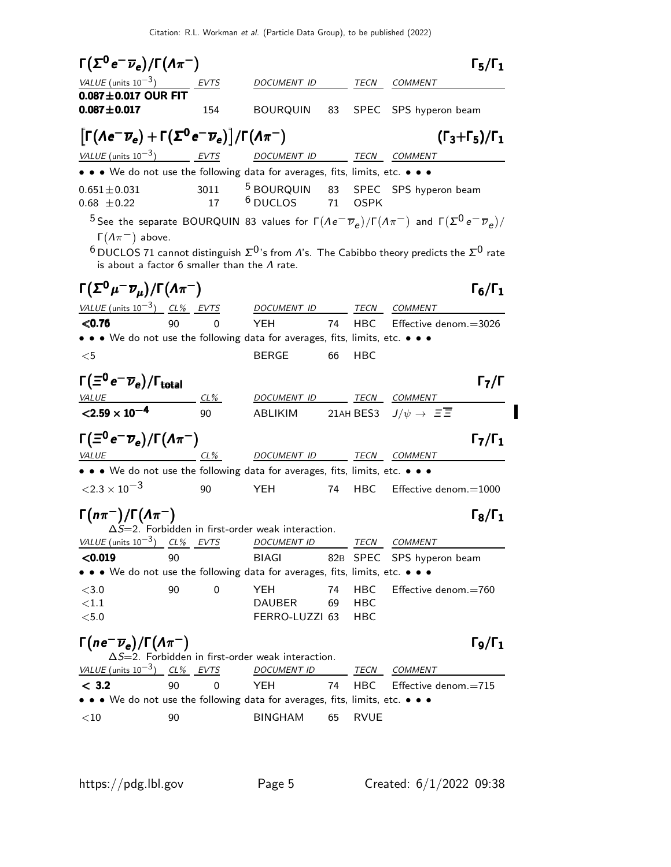Citation: R.L. Workman et al. (Particle Data Group), to be published (2022)

| $\Gamma(\Sigma^0 e^- \overline{\nu}_e)/\Gamma(\Lambda \pi^-)$                                                                        |    |     |                                                             |    |             | $\Gamma_5/\Gamma_1$                                                                                                                                                                                                                                                                          |
|--------------------------------------------------------------------------------------------------------------------------------------|----|-----|-------------------------------------------------------------|----|-------------|----------------------------------------------------------------------------------------------------------------------------------------------------------------------------------------------------------------------------------------------------------------------------------------------|
| VALUE (units $10^{-3}$ ) EVTS                                                                                                        |    |     | DOCUMENT ID                                                 |    |             | TECN COMMENT                                                                                                                                                                                                                                                                                 |
| $0.087 \pm 0.017$ OUR FIT<br>$0.087 + 0.017$                                                                                         |    | 154 | BOURQUIN 83                                                 |    |             | SPEC SPS hyperon beam                                                                                                                                                                                                                                                                        |
| $\left[\Gamma(\Lambda e^-\overline{\nu}_e)+\Gamma(\Sigma^0 e^-\overline{\nu}_e)\right]/\Gamma(\Lambda\pi^-)$                         |    |     |                                                             |    |             | $(\Gamma_3 + \Gamma_5)/\Gamma_1$                                                                                                                                                                                                                                                             |
| $VALU E$ (units 10 <sup>-3</sup> ) EVTS DOCUMENT ID TECN COMMENT                                                                     |    |     |                                                             |    |             |                                                                                                                                                                                                                                                                                              |
| • • • We do not use the following data for averages, fits, limits, etc. • • •                                                        |    |     |                                                             |    |             |                                                                                                                                                                                                                                                                                              |
| $0.651 \pm 0.031$<br>$0.68 \pm 0.22$                                                                                                 |    | 17  | $6$ DUCLOS $71$                                             |    | <b>OSPK</b> | 3011 <sup>5</sup> BOURQUIN 83 SPEC SPS hyperon beam                                                                                                                                                                                                                                          |
| $\Gamma(\Lambda \pi^-)$ above.<br>is about a factor $6$ smaller than the $\Lambda$ rate.                                             |    |     |                                                             |    |             | <sup>5</sup> See the separate BOURQUIN 83 values for $\Gamma(Ae^-\overline{\nu}_e)/\Gamma(A\pi^-)$ and $\Gamma(\Sigma^0e^-\overline{\nu}_e)/\Gamma(A\pi^-)$<br><sup>6</sup> DUCLOS 71 cannot distinguish $\Sigma^{0}$ 's from <i>A</i> 's. The Cabibbo theory predicts the $\Sigma^{0}$ rate |
| $\Gamma(\Sigma^0\mu^-\overline{\nu}_\mu)/\Gamma(\Lambda\pi^-)$                                                                       |    |     |                                                             |    |             | $\Gamma_6/\Gamma_1$                                                                                                                                                                                                                                                                          |
| <u>VALUE (units <math>10^{-3}</math>) CL% EVTS DOCUMENT ID</u>                                                                       |    |     |                                                             |    |             | <b>TECN COMMENT</b>                                                                                                                                                                                                                                                                          |
| < 0.76                                                                                                                               | 90 | 0   | <b>YEH</b><br><b>74</b>                                     |    |             | HBC Effective denom.=3026                                                                                                                                                                                                                                                                    |
| • • • We do not use the following data for averages, fits, limits, etc. • • •                                                        |    |     |                                                             |    |             |                                                                                                                                                                                                                                                                                              |
| $<$ 5                                                                                                                                |    |     | <b>BERGE</b>                                                | 66 | HBC         |                                                                                                                                                                                                                                                                                              |
| $\Gamma(\Xi^0\,e^-\overline{\nu}_e)/\Gamma_{\rm total}$                                                                              |    |     |                                                             |    |             | $\Gamma_7/\Gamma$                                                                                                                                                                                                                                                                            |
| $VALUE$ $CL\%$                                                                                                                       |    |     | DOCUMENT ID TECN COMMENT                                    |    |             |                                                                                                                                                                                                                                                                                              |
| $< 2.59 \times 10^{-4}$                                                                                                              |    | 90  | ABLIKIM 21AH BES3 $J/\psi \rightarrow \Xi \overline{\Xi}$   |    |             |                                                                                                                                                                                                                                                                                              |
| $\Gamma(\Xi^0 e^- \overline{\nu}_e)/\Gamma(\Lambda \pi^-)$                                                                           |    |     |                                                             |    |             | $\Gamma_7/\Gamma_1$                                                                                                                                                                                                                                                                          |
| $VALUE$ CL%                                                                                                                          |    |     | DOCUMENT ID TECN COMMENT                                    |    |             |                                                                                                                                                                                                                                                                                              |
| • • • We do not use the following data for averages, fits, limits, etc. • • •                                                        |    |     |                                                             |    |             |                                                                                                                                                                                                                                                                                              |
| $\langle 2.3 \times 10^{-3}$                                                                                                         |    | 90  | <b>YEH</b>                                                  | 74 | <b>HBC</b>  | Effective denom.=1000                                                                                                                                                                                                                                                                        |
| $\Gamma(n\pi^{-})/\Gamma(\Lambda\pi^{-})$                                                                                            |    |     | $\Delta S = 2$ . Forbidden in first-order weak interaction. |    |             | $\Gamma_8/\Gamma_1$                                                                                                                                                                                                                                                                          |
| VALUE (units $10^{-3}$ ) CL% EVTS DOCUMENT ID                                                                                        |    |     |                                                             |    | TECN        | <i>COMMENT</i>                                                                                                                                                                                                                                                                               |
| < 0.019                                                                                                                              | 90 |     | <b>BIAGI</b>                                                |    |             | 82B SPEC SPS hyperon beam                                                                                                                                                                                                                                                                    |
| $\bullet\,\bullet\,\bullet\,$ We do not use the following data for averages, fits, limits, etc. $\bullet\,\bullet\,\bullet\,\bullet$ |    |     |                                                             |    |             |                                                                                                                                                                                                                                                                                              |
| < 3.0                                                                                                                                | 90 | 0   | <b>YEH</b>                                                  | 74 | <b>HBC</b>  | Effective denom.=760                                                                                                                                                                                                                                                                         |
| ${<}1.1$                                                                                                                             |    |     | <b>DAUBER</b>                                               | 69 | HBC         |                                                                                                                                                                                                                                                                                              |
| $5.0$                                                                                                                                |    |     | FERRO-LUZZI 63                                              |    | HBC         |                                                                                                                                                                                                                                                                                              |
| $\Gamma(n e^- \overline{\nu}_e)/\Gamma(\Lambda \pi^-)$                                                                               |    |     |                                                             |    |             | $\Gamma$ 9/Γ $_1$                                                                                                                                                                                                                                                                            |
|                                                                                                                                      |    |     | $\Delta S = 2$ . Forbidden in first-order weak interaction. |    |             |                                                                                                                                                                                                                                                                                              |
| VALUE (units $10^{-3}$ ) CL% EVTS                                                                                                    |    |     | <b>DOCUMENT ID</b>                                          |    | TECN        | <b>COMMENT</b>                                                                                                                                                                                                                                                                               |
| < 3.2                                                                                                                                | 90 | 0   | YEH                                                         | 74 | HBC         | Effective denom.=715                                                                                                                                                                                                                                                                         |
| • • • We do not use the following data for averages, fits, limits, etc. • • •                                                        |    |     |                                                             |    |             |                                                                                                                                                                                                                                                                                              |
| $<$ 10                                                                                                                               | 90 |     | <b>BINGHAM</b>                                              | 65 | <b>RVUE</b> |                                                                                                                                                                                                                                                                                              |

 $\begin{array}{c} \rule{0pt}{2.5ex} \rule{0pt}{2.5ex} \rule{0pt}{2.5ex} \rule{0pt}{2.5ex} \rule{0pt}{2.5ex} \rule{0pt}{2.5ex} \rule{0pt}{2.5ex} \rule{0pt}{2.5ex} \rule{0pt}{2.5ex} \rule{0pt}{2.5ex} \rule{0pt}{2.5ex} \rule{0pt}{2.5ex} \rule{0pt}{2.5ex} \rule{0pt}{2.5ex} \rule{0pt}{2.5ex} \rule{0pt}{2.5ex} \rule{0pt}{2.5ex} \rule{0pt}{2.5ex} \rule{0pt}{2.5ex} \rule{0$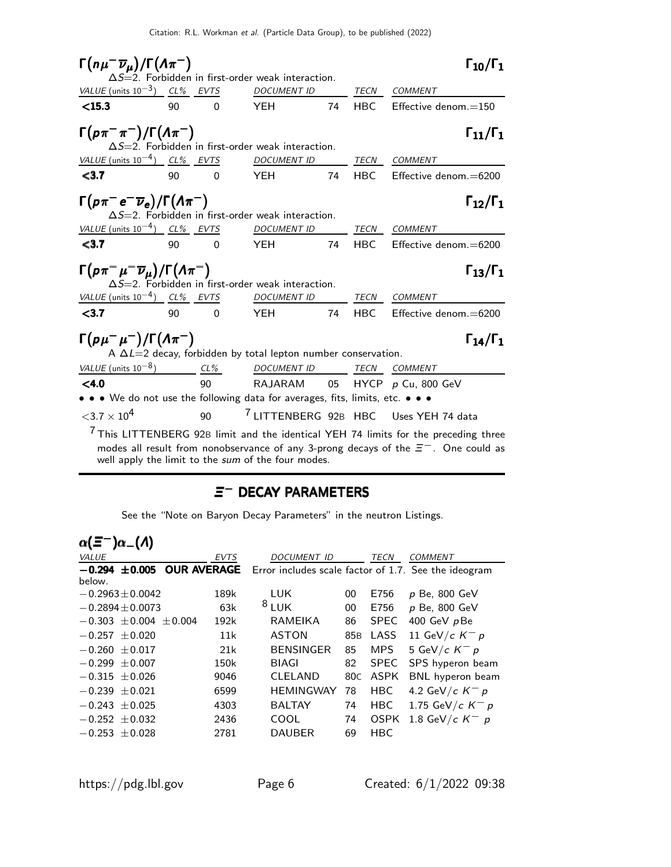| $\Gamma(n\mu^-\overline{\nu}_\mu)/\Gamma(\Lambda\pi^-)$                                                                                                                                                                                                                                    |                                                                                                                                                   |          | $\Delta S = 2$ . Forbidden in first-order weak interaction. |    |            | $\Gamma_{10}/\Gamma_1$        |  |
|--------------------------------------------------------------------------------------------------------------------------------------------------------------------------------------------------------------------------------------------------------------------------------------------|---------------------------------------------------------------------------------------------------------------------------------------------------|----------|-------------------------------------------------------------|----|------------|-------------------------------|--|
| VALUE (units $10^{-3}$ ) CL% EVTS                                                                                                                                                                                                                                                          |                                                                                                                                                   |          | <b>DOCUMENT ID</b>                                          |    |            | TECN COMMENT                  |  |
| $<$ 15.3                                                                                                                                                                                                                                                                                   | 90                                                                                                                                                | $\Omega$ | <b>YEH</b>                                                  | 74 | <b>HBC</b> | Effective denom. $=$ 150      |  |
| $\Gamma(p\pi^-\pi^-)/\Gamma(\Lambda\pi^-)$<br>$\Gamma_{11}/\Gamma_{1}$<br>$\Delta S = 2$ . Forbidden in first-order weak interaction.                                                                                                                                                      |                                                                                                                                                   |          |                                                             |    |            |                               |  |
| VALUE (units $10^{-4}$ ) CL% EVTS                                                                                                                                                                                                                                                          |                                                                                                                                                   |          | <b>DOCUMENT ID</b>                                          |    |            | TECN COMMENT                  |  |
| < 3.7                                                                                                                                                                                                                                                                                      | 90                                                                                                                                                | $\Omega$ | <b>YEH</b>                                                  | 74 | <b>HBC</b> | Effective denom. $=$ 6200     |  |
|                                                                                                                                                                                                                                                                                            | $\Gamma(p\pi^-e^-\overline{\nu}_e)/\Gamma(\Lambda\pi^-)$<br>$\Gamma_{12}/\Gamma_1$<br>$\Delta S = 2$ . Forbidden in first-order weak interaction. |          |                                                             |    |            |                               |  |
| VALUE (units $10^{-4}$ ) CL% EVTS                                                                                                                                                                                                                                                          |                                                                                                                                                   |          | <b>DOCUMENT ID</b>                                          |    | TECN       | <b>COMMENT</b>                |  |
| $3.7$                                                                                                                                                                                                                                                                                      | 90                                                                                                                                                | $\Omega$ | <b>YEH</b>                                                  | 74 | HBC.       | Effective denom.=6200         |  |
| $\Gamma(p\pi^{-}\mu^{-}\overline{\nu}_{\mu})/\Gamma(\Lambda\pi^{-})$<br>$\Gamma_{13}/\Gamma_{1}$<br>$\Delta S = 2$ . Forbidden in first-order weak interaction.                                                                                                                            |                                                                                                                                                   |          |                                                             |    |            |                               |  |
| VALUE (units $10^{-4}$ ) CL% EVTS                                                                                                                                                                                                                                                          |                                                                                                                                                   |          | DOCUMENT ID                                                 |    | TECN       | <b>COMMENT</b>                |  |
| $3.7$                                                                                                                                                                                                                                                                                      | 90                                                                                                                                                | $\Omega$ | <b>YEH</b>                                                  | 74 | <b>HBC</b> | $E$ ffective denom. $=$ 6200  |  |
| $\Gamma(p\mu^-\mu^-)/\Gamma(\Lambda\pi^-)$<br>$\Gamma_{14}/\Gamma_{1}$<br>A $\Delta L=2$ decay, forbidden by total lepton number conservation.                                                                                                                                             |                                                                                                                                                   |          |                                                             |    |            |                               |  |
|                                                                                                                                                                                                                                                                                            |                                                                                                                                                   |          |                                                             |    |            |                               |  |
| VALUE (units $10^{-8}$ ) $CL\%$ DOCUMENT ID TECN COMMENT<br>$<$ 4.0                                                                                                                                                                                                                        |                                                                                                                                                   |          |                                                             |    |            |                               |  |
| • • • We do not use the following data for averages, fits, limits, etc. • • •                                                                                                                                                                                                              |                                                                                                                                                   | 90       |                                                             |    |            | RAJARAM 05 HYCP p Cu, 800 GeV |  |
| $<$ 3.7 $\times$ 10 <sup>4</sup>                                                                                                                                                                                                                                                           |                                                                                                                                                   | 90       |                                                             |    |            |                               |  |
| <sup>7</sup> LITTENBERG 92B HBC Uses YEH 74 data<br>$7$ This LITTENBERG 92B limit and the identical YEH 74 limits for the preceding three<br>modes all result from nonobservance of any 3-prong decays of the $\Xi^-$ . One could as<br>well apply the limit to the sum of the four modes. |                                                                                                                                                   |          |                                                             |    |            |                               |  |

# $\equiv$ <sup>−</sup> DECAY PARAMETERS

See the "Note on Baryon Decay Parameters" in the neutron Listings.

| $\alpha(\Xi^-)\alpha_-(\Lambda)$ |                    |                                                      |                 |             |                    |
|----------------------------------|--------------------|------------------------------------------------------|-----------------|-------------|--------------------|
| <b>VALUE</b>                     | EVTS               | <b>DOCUMENT ID</b>                                   |                 | TECN        | <i>COMMENT</i>     |
| $-0.294 \pm 0.005$               | <b>OUR AVERAGE</b> | Error includes scale factor of 1.7. See the ideogram |                 |             |                    |
| below.                           |                    |                                                      |                 |             |                    |
| $-0.2963 \pm 0.0042$             | 189k               | LUK.                                                 | 00              | E756        | p Be, 800 GeV      |
| $-0.2894 + 0.0073$               | 63k                | 8LUK                                                 | 00              | E756        | p Be, 800 GeV      |
| $-0.303 + 0.004 + 0.004$         | 192k               | <b>RAMEIKA</b>                                       | 86              | <b>SPEC</b> | 400 GeV pBe        |
| $-0.257 \pm 0.020$               | 11k                | <b>ASTON</b>                                         | 85 <sub>B</sub> | LASS        | 11 GeV/c $K^- p$   |
| $-0.260 + 0.017$                 | 21k                | <b>BENSINGER</b>                                     | 85              | <b>MPS</b>  | 5 GeV/c $K^- p$    |
| $-0.299 \pm 0.007$               | 150k               | BIAGI                                                | 82              | <b>SPEC</b> | SPS hyperon beam   |
| $-0.315 \pm 0.026$               | 9046               | CLELAND                                              | 80C             | ASPK        | BNL hyperon beam   |
| $-0.239 + 0.021$                 | 6599               | <b>HEMINGWAY</b>                                     | 78              | <b>HBC</b>  | 4.2 GeV/c $K^- p$  |
| $-0.243 \pm 0.025$               | 4303               | <b>BALTAY</b>                                        | 74              | <b>HBC</b>  | 1.75 GeV/c $K^- p$ |
| $-0.252 \pm 0.032$               | 2436               | COOL                                                 | 74              | <b>OSPK</b> | 1.8 GeV/c $K^-$ p  |
| $-0.253 \pm 0.028$               | 2781               | <b>DAUBER</b>                                        | 69              | <b>HBC</b>  |                    |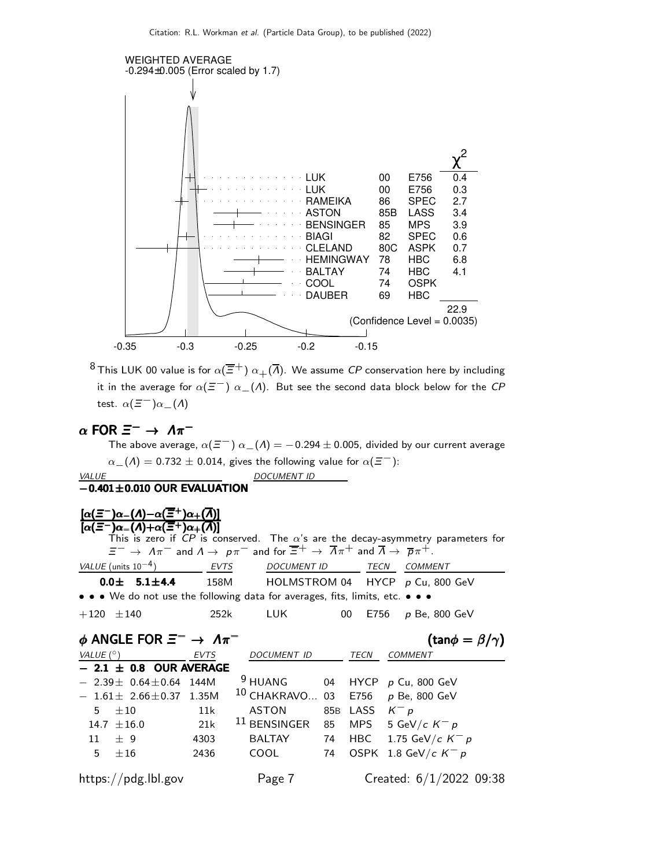

<sup>8</sup> This LUK 00 value is for  $\alpha(\overline{\Xi}^+)$   $\alpha_+(\overline{\Lambda})$ . We assume CP conservation here by including it in the average for  $\alpha(\bar{z}^-)$   $\alpha_-(\Lambda)$ . But see the second data block below for the CP test.  $\alpha(\Xi^-)\alpha_-(\Lambda)$ 

# $\alpha$  FOR  $\Xi^- \to \Lambda \pi^-$

The above average,  $\alpha(\Xi^-)$   $\alpha_-(\Lambda) = -0.294 \pm 0.005$ , divided by our current average  $\alpha_{-}(\Lambda) = 0.732 \pm 0.014$ , gives the following value for  $\alpha(\Xi^{-})$ : VALUE DOCUMENT ID  $-0.401 \pm 0.010$  OUR EVALUATION

| $[\alpha(\Xi^-)\alpha_-(\Lambda)-\alpha(\overline{\Xi}^+)\alpha_+(\overline{\Lambda})]$                               |             |                                                                                                                                                                                                          |    |             |                                                                                         |
|-----------------------------------------------------------------------------------------------------------------------|-------------|----------------------------------------------------------------------------------------------------------------------------------------------------------------------------------------------------------|----|-------------|-----------------------------------------------------------------------------------------|
| $[\alpha(\bar{\Xi}^-)\alpha_-(\Lambda)+\alpha(\bar{\Xi}^+)\alpha_+(\bar{\Lambda})]$                                   |             |                                                                                                                                                                                                          |    |             | This is zero if CP is conserved. The $\alpha$ 's are the decay-asymmetry parameters for |
|                                                                                                                       |             | $\Xi^ \rightarrow$ $\Lambda \pi^-$ and $\Lambda \rightarrow$ $p \pi^-$ and for $\overline{\Xi}^+$ $\rightarrow$ $\overline{\Lambda} \pi^+$ and $\overline{\Lambda}$ $\rightarrow$ $\overline{p} \pi^+$ . |    |             |                                                                                         |
| VALUE (units $10^{-4}$ )                                                                                              | EVTS        | <b>DOCUMENT ID</b>                                                                                                                                                                                       |    | TECN        | <b>COMMENT</b>                                                                          |
| $0.0 \pm 5.1 \pm 4.4$                                                                                                 |             |                                                                                                                                                                                                          |    |             | 158M HOLMSTROM 04 HYCP p Cu, 800 GeV                                                    |
| $\bullet \bullet \bullet$ We do not use the following data for averages, fits, limits, etc. $\bullet \bullet \bullet$ |             |                                                                                                                                                                                                          |    |             |                                                                                         |
| $+120 \pm 140$                                                                                                        | 252k        | LUK.                                                                                                                                                                                                     | 00 | E756        | <i>p</i> Be, 800 GeV                                                                    |
| $\phi$ ANGLE FOR $\Xi^- \to \Lambda \pi^-$                                                                            |             |                                                                                                                                                                                                          |    |             | $(\tan \phi = \beta/\gamma)$                                                            |
| VALUE (°)                                                                                                             | <b>EVTS</b> | DOCUMENT ID                                                                                                                                                                                              |    | TECN        | COMMENT                                                                                 |
| $-2.1 \pm 0.8$ OUR AVERAGE                                                                                            |             |                                                                                                                                                                                                          |    |             |                                                                                         |
| $2.39 \pm 0.64 \pm 0.64$ 144M                                                                                         |             | <sup>9</sup> HUANG                                                                                                                                                                                       |    | 04 HYCP     | p Cu, 800 GeV                                                                           |
| $-1.61\pm 2.66\pm 0.37$ 1.35M                                                                                         |             | <sup>10</sup> CHAKRAVO 03                                                                                                                                                                                |    | E756        | $p$ Be, 800 GeV                                                                         |
| $\pm 10$<br>5                                                                                                         | 11k         | <b>ASTON</b>                                                                                                                                                                                             |    | 85B LASS    | $K^- p$                                                                                 |
| $14.7 + 16.0$                                                                                                         | 21k         | $^{11}$ BENSINGER                                                                                                                                                                                        |    | 85 MPS      | 5 GeV/c $K^- p$                                                                         |
| 11<br>$+9$                                                                                                            | 4303        | <b>BALTAY</b>                                                                                                                                                                                            |    | 74 HBC      | 1.75 GeV/c $K^- p$                                                                      |
| 5<br>±16                                                                                                              | 2436        | <b>COOL</b>                                                                                                                                                                                              | 74 | <b>OSPK</b> | 1.8 GeV/c $K^- p$                                                                       |
| https://pdg.lbl.gov                                                                                                   |             | Page 7                                                                                                                                                                                                   |    |             | Created: $6/1/2022$ 09:38                                                               |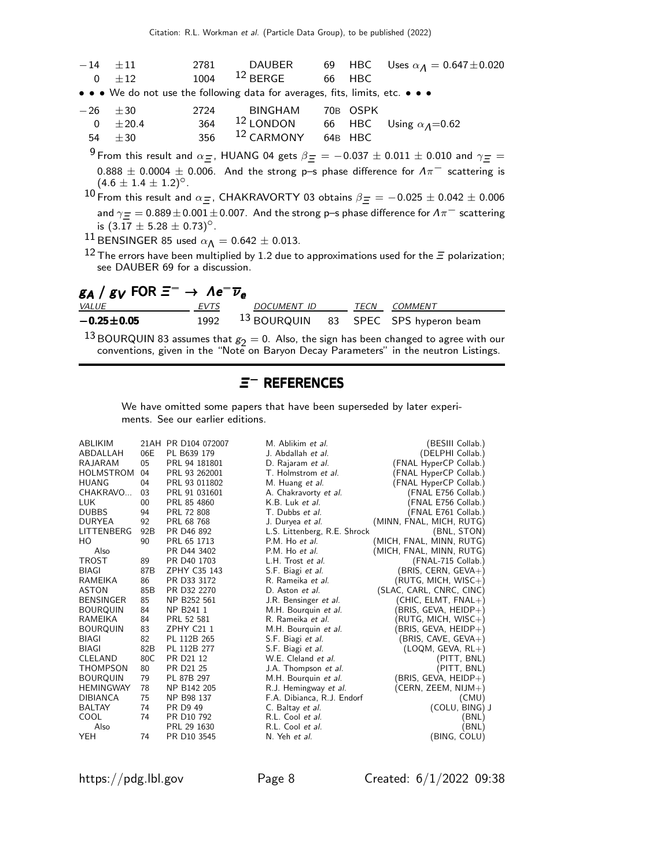|                                                                                                               | $-14$ $\pm 11$                   | 2781 | DAUBER                                                                        |  |          | 69 HBC Uses $\alpha_{\Lambda} = 0.647 \pm 0.020$                                                                            |  |
|---------------------------------------------------------------------------------------------------------------|----------------------------------|------|-------------------------------------------------------------------------------|--|----------|-----------------------------------------------------------------------------------------------------------------------------|--|
| $\overline{\mathbf{0}}$                                                                                       | $+12$                            | 1004 | $12$ BERGE 66 HBC                                                             |  |          |                                                                                                                             |  |
|                                                                                                               |                                  |      | • • • We do not use the following data for averages, fits, limits, etc. • • • |  |          |                                                                                                                             |  |
|                                                                                                               | $-26 \pm 30$                     | 2724 | BINGHAM                                                                       |  | 70B OSPK |                                                                                                                             |  |
| $\overline{0}$                                                                                                | ± 20.4                           |      | 364 <sup>12</sup> LONDON 66 HBC Using $\alpha_A$ =0.62                        |  |          |                                                                                                                             |  |
| 54                                                                                                            | $\pm 30$                         | 356  | 12 CARMONY 64B HBC                                                            |  |          |                                                                                                                             |  |
|                                                                                                               |                                  |      |                                                                               |  |          | <sup>9</sup> From this result and $\alpha$ =, HUANG 04 gets $\beta$ = $=$ -0.037 $\pm$ 0.011 $\pm$ 0.010 and $\gamma$ = $=$ |  |
|                                                                                                               | $(4.6 \pm 1.4 \pm 1.2)^{\circ}.$ |      |                                                                               |  |          | 0.888 $\pm$ 0.0004 $\pm$ 0.006. And the strong p-s phase difference for $\Lambda\pi^-$ scattering is                        |  |
| 10 From this result and $\alpha$ =, CHAKRAVORTY 03 obtains $\beta$ = = -0.025 $\pm$ 0.042 $\pm$ 0.006         |                                  |      |                                                                               |  |          |                                                                                                                             |  |
| and $\gamma = 0.889 \pm 0.001 \pm 0.007$ . And the strong p–s phase difference for $\Lambda \pi^-$ scattering |                                  |      |                                                                               |  |          |                                                                                                                             |  |

is  $(3.17 \pm 5.28 \pm 0.73)^\circ$ .

 $\frac{11}{10}$  BENSINGER 85 used  $\alpha_{\Lambda} = 0.642 \pm 0.013$ .

12 The errors have been multiplied by 1.2 due to approximations used for the  $\equiv$  polarization; see DAUBER 69 for a discussion.

| $g_A/g_V$ FOR $\Xi^ \rightarrow$ $\Lambda e^- \overline{\nu}_e$ |              |                    |                                                 |
|-----------------------------------------------------------------|--------------|--------------------|-------------------------------------------------|
|                                                                 |              | TECN               | COMMENT                                         |
|                                                                 |              |                    |                                                 |
|                                                                 | EVTS<br>1992 | <i>DOCUMENT ID</i> | <sup>13</sup> BOURQUIN 83 SPEC SPS hyperon beam |

<sup>13</sup> BOURQUIN 83 assumes that  $g_2 = 0$ . Also, the sign has been changed to agree with our conventions, given in the "Note on Baryon Decay Parameters" in the neutron Listings.

# Ξ <sup>−</sup> REFERENCES <sup>−</sup>

We have omitted some papers that have been superseded by later experiments. See our earlier editions.

| <b>ABLIKIM</b>   |     | 21AH PR D104 072007     | M. Ablikim et al.            | (BESIII Collab.)         |
|------------------|-----|-------------------------|------------------------------|--------------------------|
| ABDALLAH         | 06E | PL B639 179             | J. Abdallah et al.           | (DELPHI Collab.)         |
| RAJARAM          | 05  | PRL 94 181801           | D. Rajaram et al.            | (FNAL HyperCP Collab.)   |
| HOLMSTROM        | 04  | PRL 93 262001           | T. Holmstrom et al.          | FNAL HyperCP Collab.)    |
| <b>HUANG</b>     | 04  | PRL 93 011802           | M. Huang et al.              | (FNAL HyperCP Collab.)   |
| CHAKRAVO         | 03  | PRL 91 031601           | A. Chakravorty et al.        | (FNAL E756 Collab.)      |
| <b>LUK</b>       | 00  | PRL 85 4860             | K.B. Luk et al.              | (FNAL E756 Collab.)      |
| <b>DUBBS</b>     | 94  | PRL 72 808              | T. Dubbs et al.              | (FNAL E761 Collab.)      |
| <b>DURYEA</b>    | 92  | PRL 68 768              | J. Duryea <i>et al.</i>      | (MINN, FNAL, MICH, RUTG) |
| LITTENBERG       | 92B | PR D46 892              | L.S. Littenberg, R.E. Shrock | (BNL, STON)              |
| HO               | 90  | PRL 65 1713             | P.M. Ho et al.               | (MICH, FNAL, MINN, RUTG) |
| Also             |     | PR D44 3402             | P.M. Ho et al.               | (MICH, FNAL, MINN, RUTG) |
| <b>TROST</b>     | 89  | PR D <sub>40</sub> 1703 | L.H. Trost et al.            | (FNAL-715 Collab.)       |
| <b>BIAGI</b>     | 87B | ZPHY C35 143            | S.F. Biagi et al.            | (BRIS, CERN, GEVA+)      |
| RAMEIKA          | 86  | PR D33 3172             | R. Rameika et al.            | $(RUTG, MICH, WISC+)$    |
| <b>ASTON</b>     | 85B | PR D32 2270             | D. Aston et al.              | (SLAC, CARL, CNRC, CINC) |
| <b>BENSINGER</b> | 85  | NP B252 561             | J.R. Bensinger et al.        | (CHIC, ELMT, FNAL+)      |
| <b>BOURQUIN</b>  | 84  | NP B241 1               | M.H. Bourquin et al.         | (BRIS, GEVA, HEIDP+)     |
| RAMEIKA          | 84  | PRL 52 581              | R. Rameika <i>et al.</i>     | (RUTG, MICH, WISC+)      |
| <b>BOURQUIN</b>  | 83  | ZPHY C21 1              | M.H. Bourquin et al.         | (BRIS, GEVA, HEIDP+)     |
| BIAGI            | 82  | PL 112B 265             | S.F. Biagi et al.            | (BRIS, CAVE, GEVA+)      |
| BIAGI            | 82B | PL 112B 277             | S.F. Biagi et al.            | $(LOQM, GEVA, RL+)$      |
| CLELAND          | 80C | PR D21 12               | W.E. Cleland et al.          | (PITT, BNL)              |
| <b>THOMPSON</b>  | 80  | PR D21 25               | J.A. Thompson et al.         | (PITT, BNL)              |
| <b>BOURQUIN</b>  | 79  | PL 87B 297              | M.H. Bourquin et al.         | (BRIS, GEVA, HEIDP+)     |
| <b>HEMINGWAY</b> | 78  | NP B142 205             | R.J. Hemingway et al.        | (CERN, ZEEM, NIJM+)      |
| <b>DIBIANCA</b>  | 75  | NP B98 137              | F.A. Dibianca, R.J. Endorf   | (CMU)                    |
| <b>BALTAY</b>    | 74  | PR D9 49                | C. Baltay et al.             | (COLU, BING) J           |
| COOL             | 74  | PR D <sub>10</sub> 792  | R.L. Cool et al.             | (BNL)                    |
| Also             |     | PRL 29 1630             | R.L. Cool et al.             | (BNL)                    |
| <b>YEH</b>       | 74  | PR D10 3545             | N. Yeh et al.                | (BING, COLU)             |

https://pdg.lbl.gov Page 8 Created: 6/1/2022 09:38